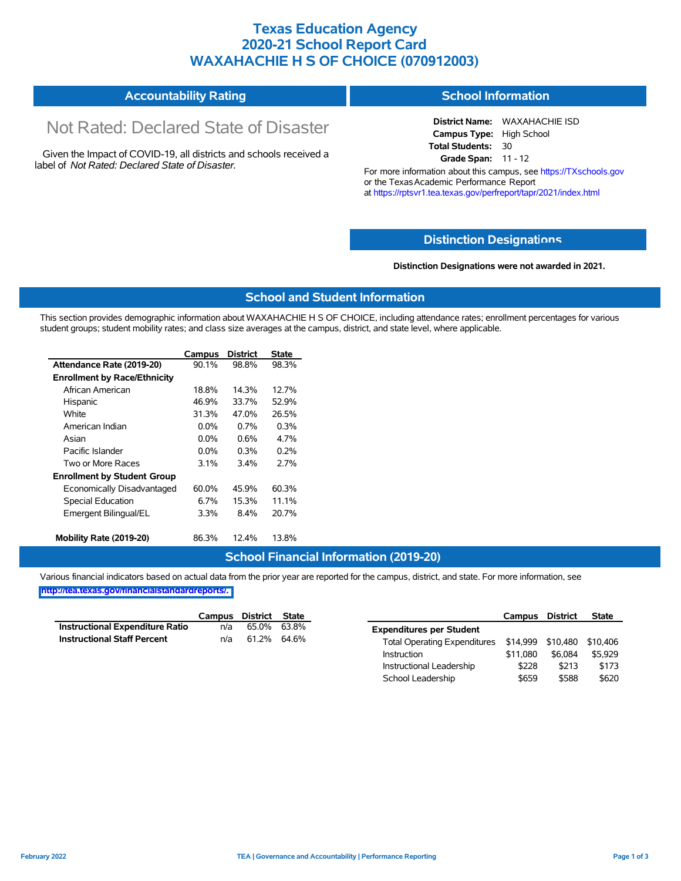### **Texas Education Agency 2020-21 School Report Card WAXAHACHIE H S OF CHOICE (070912003)**

#### **Accountability Rating School Information**

# Not Rated: Declared State of Disaster

Given the Impact of COVID-19, all districts and schools received a label of *Not Rated: Declared State of Disaster.*

**District Name:** WAXAHACHIE ISD **Campus Type:** High School **Total Students:** 30 **Grade Span:** 11 - 12

For more information about this campus, see https://TXschools.gov or the Texas Academic Performance Report at https://rptsvr1.tea.texas.gov/perfreport/tapr/2021/index.html

#### **Distinction Designat[ions](https://TXschools.gov)**

**Distinction Designations were not awarded in 2021.**

Instructional Leadership \$228 \$213 \$173 School Leadership  $$659$  \$588 \$620

#### **School and Student Information**

This section provides demographic information about WAXAHACHIE H S OF CHOICE, including attendance rates; enrollment percentages for various student groups; student mobility rates; and class size averages at the campus, district, and state level, where applicable.

|                                     | Campus   | <b>District</b> | <b>State</b> |
|-------------------------------------|----------|-----------------|--------------|
| Attendance Rate (2019-20)           | $90.1\%$ | 98.8%           | 98.3%        |
| <b>Enrollment by Race/Ethnicity</b> |          |                 |              |
| African American                    | 18.8%    | 14.3%           | 12.7%        |
| Hispanic                            | 46.9%    | 33.7%           | 52.9%        |
| White                               | 31.3%    | 47.0%           | 26.5%        |
| American Indian                     | $0.0\%$  | 0.7%            | 0.3%         |
| Asian                               | $0.0\%$  | $0.6\%$         | 4.7%         |
| Pacific Islander                    | $0.0\%$  | $0.3\%$         | 0.2%         |
| Two or More Races                   | $3.1\%$  | 3.4%            | 2.7%         |
| <b>Enrollment by Student Group</b>  |          |                 |              |
| Economically Disadvantaged          | 60.0%    | 45.9%           | 60.3%        |
| <b>Special Education</b>            | 6.7%     | 15.3%           | 11.1%        |
| Emergent Bilingual/EL               | 3.3%     | 8.4%            | 20.7%        |
| Mobility Rate (2019-20)             | 86.3%    | 12.4%           | 13.8%        |

#### **School Financial Information (2019-20)**

Various financial indicators based on actual data from the prior year are reported for the campus, district, and state. For more information, see

**[http://tea.texas.gov/financialstandardreports/.](http://tea.texas.gov/financialstandardreports/)**

|                                    | Campus | District | State       |                                                | Campus   | District | <b>State</b> |
|------------------------------------|--------|----------|-------------|------------------------------------------------|----------|----------|--------------|
| Instructional Expenditure Ratio    | n/a    | 65.0%    | 63.8%       | <b>Expenditures per Student</b>                |          |          |              |
| <b>Instructional Staff Percent</b> | n/a    |          | 61.2% 64.6% | Total Operating Expenditures \$14,999 \$10,480 |          |          | \$10.406     |
|                                    |        |          |             | Instruction                                    | \$11.080 | \$6.084  | \$5.929      |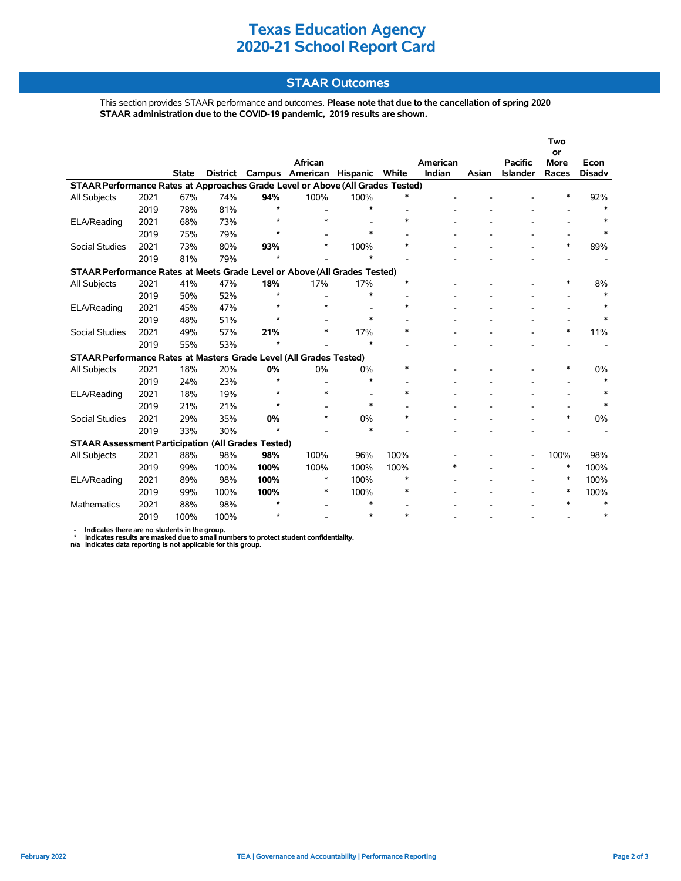## **Texas Education Agency 2020-21 School Report Card**

### **STAAR Outcomes**

This section provides STAAR performance and outcomes. **Please note that due to the cancellation of spring 2020 STAAR administration due to the COVID-19 pandemic, 2019 results are shown.**

|                                                                                |      |              |          |         |                 |                |          |        |       |                 | Two<br>or   |               |
|--------------------------------------------------------------------------------|------|--------------|----------|---------|-----------------|----------------|----------|--------|-------|-----------------|-------------|---------------|
|                                                                                |      |              |          |         | African         |                | American |        |       | <b>Pacific</b>  | <b>More</b> | Econ          |
|                                                                                |      | <b>State</b> | District |         | Campus American | Hispanic White |          | Indian | Asian | <b>Islander</b> | Races       | <b>Disadv</b> |
| STAAR Performance Rates at Approaches Grade Level or Above (All Grades Tested) |      |              |          |         |                 |                |          |        |       |                 |             |               |
| All Subjects                                                                   | 2021 | 67%          | 74%      | 94%     | 100%            | 100%           |          |        |       |                 | $\ast$      | 92%           |
|                                                                                | 2019 | 78%          | 81%      | $\star$ |                 | $\ast$         |          |        |       |                 |             | $\ast$        |
| ELA/Reading                                                                    | 2021 | 68%          | 73%      | $\star$ | $\ast$          |                | $\ast$   |        |       |                 |             |               |
|                                                                                | 2019 | 75%          | 79%      | $\star$ |                 | *              |          |        |       |                 |             | *             |
| <b>Social Studies</b>                                                          | 2021 | 73%          | 80%      | 93%     | $\ast$          | 100%           | $\ast$   |        |       |                 | $\ast$      | 89%           |
|                                                                                | 2019 | 81%          | 79%      | $\star$ |                 |                |          |        |       |                 |             |               |
| STAAR Performance Rates at Meets Grade Level or Above (All Grades Tested)      |      |              |          |         |                 |                |          |        |       |                 |             |               |
| All Subjects                                                                   | 2021 | 41%          | 47%      | 18%     | 17%             | 17%            | $\ast$   |        |       |                 |             | 8%            |
|                                                                                | 2019 | 50%          | 52%      | $\star$ |                 | $\ast$         |          |        |       |                 |             | $\ast$        |
| ELA/Reading                                                                    | 2021 | 45%          | 47%      | $\star$ | $\ast$          |                | $\ast$   |        |       |                 |             |               |
|                                                                                | 2019 | 48%          | 51%      | $\star$ |                 | *              |          |        |       |                 |             | $\ast$        |
| <b>Social Studies</b>                                                          | 2021 | 49%          | 57%      | 21%     | $\ast$          | 17%            | $\ast$   |        |       |                 | $\ast$      | 11%           |
|                                                                                | 2019 | 55%          | 53%      | ÷       |                 | $\ast$         |          |        |       |                 |             |               |
| STAAR Performance Rates at Masters Grade Level (All Grades Tested)             |      |              |          |         |                 |                |          |        |       |                 |             |               |
| All Subjects                                                                   | 2021 | 18%          | 20%      | 0%      | 0%              | 0%             | $\ast$   |        |       |                 | *           | 0%            |
|                                                                                | 2019 | 24%          | 23%      | $\star$ |                 | $\ast$         |          |        |       |                 |             | $\ast$        |
| ELA/Reading                                                                    | 2021 | 18%          | 19%      | $\star$ | $\ast$          |                | $\ast$   |        |       |                 |             |               |
|                                                                                | 2019 | 21%          | 21%      | $\star$ |                 | $\ast$         |          |        |       |                 |             | $\ast$        |
| <b>Social Studies</b>                                                          | 2021 | 29%          | 35%      | 0%      | *               | 0%             | $\ast$   |        |       |                 | $\ast$      | 0%            |
|                                                                                | 2019 | 33%          | 30%      | $\star$ |                 | *              |          |        |       |                 |             |               |
| <b>STAAR Assessment Participation (All Grades Tested)</b>                      |      |              |          |         |                 |                |          |        |       |                 |             |               |
| <b>All Subjects</b>                                                            | 2021 | 88%          | 98%      | 98%     | 100%            | 96%            | 100%     |        |       |                 | 100%        | 98%           |
|                                                                                | 2019 | 99%          | 100%     | 100%    | 100%            | 100%           | 100%     | $\ast$ |       |                 | $\ast$      | 100%          |
| ELA/Reading                                                                    | 2021 | 89%          | 98%      | 100%    | $\ast$          | 100%           | $\ast$   |        |       |                 | $\ast$      | 100%          |
|                                                                                | 2019 | 99%          | 100%     | 100%    | *               | 100%           | $\ast$   |        |       |                 | ∗           | 100%          |
| Mathematics                                                                    | 2021 | 88%          | 98%      | $\star$ |                 | $\ast$         |          |        |       |                 | $\ast$      | $\ast$        |
|                                                                                | 2019 | 100%         | 100%     | $\star$ |                 | *              | $\ast$   |        |       |                 |             | *             |

- Indicates there are no students in the group.<br>\* Indicates results are masked due to small numbers to protect student confidentiality.<br>n/a Indicates data reporting is not applicable for this group.